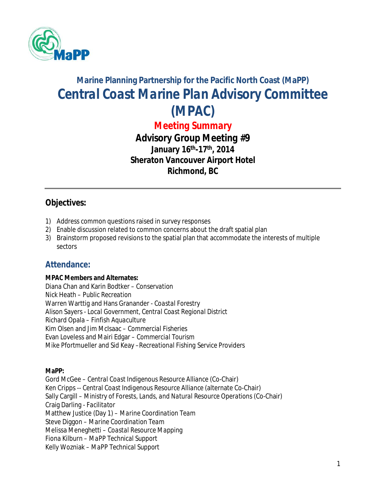

# **Marine Planning Partnership for the Pacific North Coast (MaPP)** *Central Coast Marine Plan Advisory Committee (MPAC)*

*Meeting Summary*

*Advisory Group Meeting #9* **January 16th -17th, 2014 Sheraton Vancouver Airport Hotel Richmond, BC**

# **Objectives:**

- 1) Address common questions raised in survey responses
- 2) Enable discussion related to common concerns about the draft spatial plan
- 3) Brainstorm proposed revisions to the spatial plan that accommodate the interests of multiple sectors

# **Attendance:**

#### **MPAC Members and Alternates:**

Diana Chan and Karin Bodtker – *Conservation* Nick Heath – *Public Recreation* Warren Warttig and Hans Granander - *Coastal Forestry* Alison Sayers - *Local Government, Central Coast Regional District* Richard Opala – *Finfish Aquaculture* Kim Olsen and Jim McIsaac *– Commercial Fisheries* Evan Loveless and Mairi Edgar *– Commercial Tourism* Mike Pfortmueller and Sid Keay –*Recreational Fishing Service Providers*

#### **MaPP:**

Gord McGee – *Central Coast Indigenous Resource Alliance* (Co-Chair) Ken Cripps -- *Central Coast Indigenous Resource Alliance* (alternate Co-Chair) Sally Cargill – *Ministry of Forests, Lands, and Natural Resource Operations* (Co-Chair) Craig Darling *- Facilitator* Matthew Justice (Day 1) – *Marine Coordination Team*  Steve Diggon – *Marine Coordination Team*  Melissa Meneghetti – *Coastal Resource Mapping* Fiona Kilburn – *MaPP Technical Support* Kelly Wozniak – *MaPP Technical Support*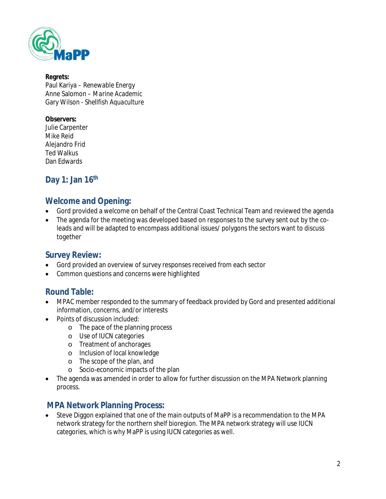

#### **Regrets:** Paul Kariya *– Renewable Energy* Anne Salomon *– Marine Academic* Gary Wilson *- Shellfish Aquaculture*

#### **Observers:**

Julie Carpenter Mike Reid Alejandro Frid Ted Walkus Dan Edwards

# **Day 1: Jan 16th**

# **Welcome and Opening:**

- Gord provided a welcome on behalf of the Central Coast Technical Team and reviewed the agenda
- The agenda for the meeting was developed based on responses to the survey sent out by the coleads and will be adapted to encompass additional issues/ polygons the sectors want to discuss together

# **Survey Review:**

- Gord provided an overview of survey responses received from each sector
- Common questions and concerns were highlighted

# **Round Table:**

- MPAC member responded to the summary of feedback provided by Gord and presented additional information, concerns, and/or interests
- Points of discussion included:
	- o The pace of the planning process
	- o Use of IUCN categories
	- o Treatment of anchorages
	- o Inclusion of local knowledge
	- o The scope of the plan, and
	- o Socio-economic impacts of the plan
- The agenda was amended in order to allow for further discussion on the MPA Network planning process.

# **MPA Network Planning Process:**

 Steve Diggon explained that one of the main outputs of MaPP is a recommendation to the MPA network strategy for the northern shelf bioregion. The MPA network strategy will use IUCN categories, which is why MaPP is using IUCN categories as well.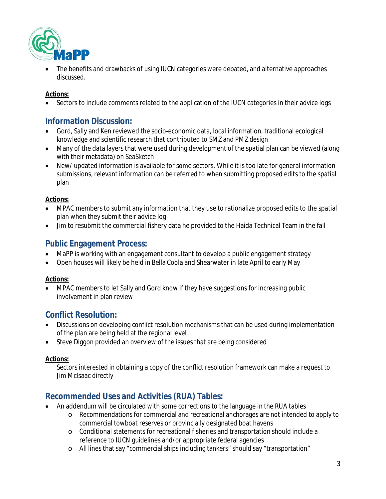

 The benefits and drawbacks of using IUCN categories were debated, and alternative approaches discussed.

#### **Actions:**

• Sectors to include comments related to the application of the IUCN categories in their advice logs

# **Information Discussion:**

- Gord, Sally and Ken reviewed the socio-economic data, local information, traditional ecological knowledge and scientific research that contributed to SMZ and PMZ design
- Many of the data layers that were used during development of the spatial plan can be viewed (along with their metadata) on SeaSketch
- New/ updated information is available for some sectors. While it is too late for general information submissions, relevant information can be referred to when submitting proposed edits to the spatial plan

#### **Actions:**

- MPAC members to submit any information that they use to rationalize proposed edits to the spatial plan when they submit their advice log
- Jim to resubmit the commercial fishery data he provided to the Haida Technical Team in the fall

# **Public Engagement Process:**

- MaPP is working with an engagement consultant to develop a public engagement strategy
- Open houses will likely be held in Bella Coola and Shearwater in late April to early May

#### **Actions:**

 MPAC members to let Sally and Gord know if they have suggestions for increasing public involvement in plan review

# **Conflict Resolution:**

- Discussions on developing conflict resolution mechanisms that can be used during implementation of the plan are being held at the regional level
- Steve Diggon provided an overview of the issues that are being considered

#### **Actions:**

Sectors interested in obtaining a copy of the conflict resolution framework can make a request to Jim McIsaac directly

# **Recommended Uses and Activities (RUA) Tables:**

- An addendum will be circulated with some corrections to the language in the RUA tables
	- o Recommendations for commercial and recreational anchorages are not intended to apply to commercial towboat reserves or provincially designated boat havens
	- o Conditional statements for recreational fisheries and transportation should include a reference to IUCN guidelines and/or appropriate federal agencies
	- o All lines that say "commercial ships including tankers" should say "transportation"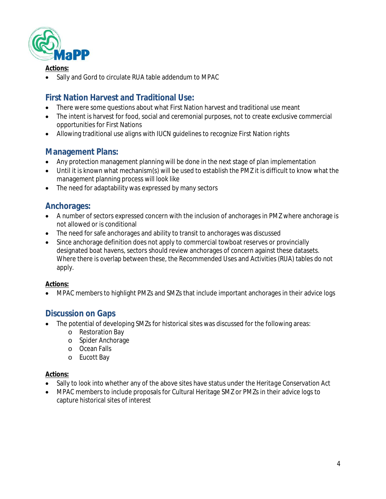

#### **Actions:**

Sally and Gord to circulate RUA table addendum to MPAC

# **First Nation Harvest and Traditional Use:**

- There were some questions about what First Nation harvest and traditional use meant
- The intent is harvest for food, social and ceremonial purposes, not to create exclusive commercial opportunities for First Nations
- Allowing traditional use aligns with IUCN guidelines to recognize First Nation rights

# **Management Plans:**

- Any protection management planning will be done in the next stage of plan implementation
- Until it is known what mechanism(s) will be used to establish the PMZ it is difficult to know what the management planning process will look like
- The need for adaptability was expressed by many sectors

# **Anchorages:**

- A number of sectors expressed concern with the inclusion of anchorages in PMZ where anchorage is not allowed or is conditional
- The need for safe anchorages and ability to transit to anchorages was discussed
- Since anchorage definition does not apply to commercial towboat reserves or provincially designated boat havens, sectors should review anchorages of concern against these datasets. Where there is overlap between these, the Recommended Uses and Activities (RUA) tables do not apply.

#### **Actions:**

MPAC members to highlight PMZs and SMZs that include important anchorages in their advice logs

### **Discussion on Gaps**

- The potential of developing SMZs for historical sites was discussed for the following areas:
	- o Restoration Bay
	- o Spider Anchorage
	- o Ocean Falls
	- o Eucott Bay

#### **Actions:**

- Sally to look into whether any of the above sites have status under the *Heritage Conservation Act*
- MPAC members to include proposals for Cultural Heritage SMZ or PMZs in their advice logs to capture historical sites of interest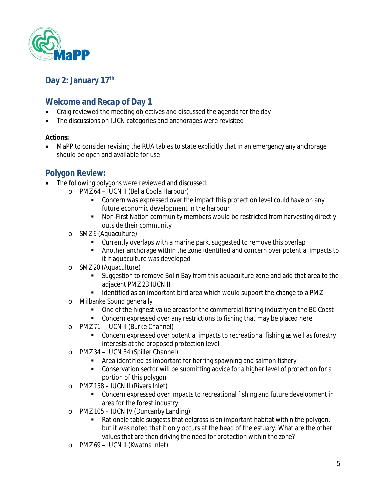

# **Day 2: January 17 th**

# **Welcome and Recap of Day 1**

- Craig reviewed the meeting objectives and discussed the agenda for the day
- The discussions on IUCN categories and anchorages were revisited

#### **Actions:**

 MaPP to consider revising the RUA tables to state explicitly that in an emergency any anchorage should be open and available for use

# **Polygon Review:**

- The following polygons were reviewed and discussed:
	- o PMZ 64 IUCN II (Bella Coola Harbour)
		- **Concern was expressed over the impact this protection level could have on any** future economic development in the harbour
		- Non-First Nation community members would be restricted from harvesting directly outside their community
	- o SMZ 9 (Aquaculture)
		- **Currently overlaps with a marine park, suggested to remove this overlap**
		- Another anchorage within the zone identified and concern over potential impacts to it if aquaculture was developed
	- o SMZ 20 (Aquaculture)
		- **Suggestion to remove Bolin Bay from this aquaculture zone and add that area to the** adjacent PMZ 23 IUCN II
		- I dentified as an important bird area which would support the change to a PMZ
	- o Milbanke Sound generally
		- One of the highest value areas for the commercial fishing industry on the BC Coast
		- **Concern expressed over any restrictions to fishing that may be placed here**
	- o PMZ 71 IUCN II (Burke Channel)
		- Concern expressed over potential impacts to recreational fishing as well as forestry interests at the proposed protection level
	- o PMZ 34 IUCN 34 (Spiller Channel)
		- **EXTERN** Area identified as important for herring spawning and salmon fishery
		- Conservation sector will be submitting advice for a higher level of protection for a portion of this polygon
	- o PMZ 158 IUCN II (Rivers Inlet)
		- **Concern expressed over impacts to recreational fishing and future development in** area for the forest industry
	- o PMZ 105 IUCN IV (Duncanby Landing)
		- Rationale table suggests that eelgrass is an important habitat within the polygon, but it was noted that it only occurs at the head of the estuary. What are the other values that are then driving the need for protection within the zone?
	- o PMZ 69 IUCN II (Kwatna Inlet)